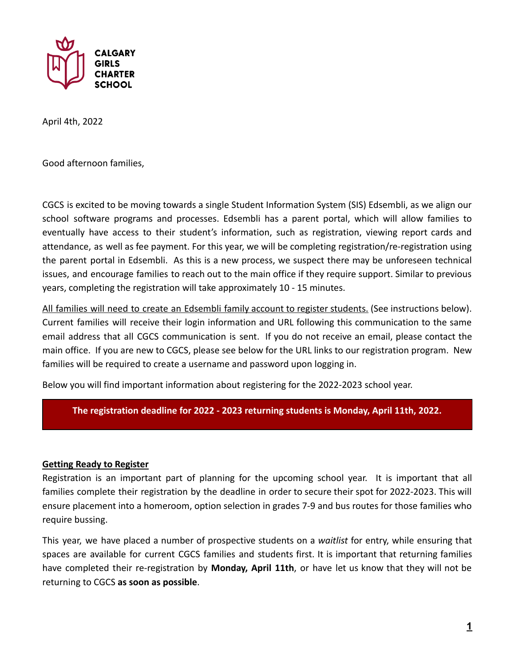

April 4th, 2022

Good afternoon families,

CGCS is excited to be moving towards a single Student Information System (SIS) Edsembli, as we align our school software programs and processes. Edsembli has a parent portal, which will allow families to eventually have access to their student's information, such as registration, viewing report cards and attendance, as well as fee payment. For this year, we will be completing registration/re-registration using the parent portal in Edsembli. As this is a new process, we suspect there may be unforeseen technical issues, and encourage families to reach out to the main office if they require support. Similar to previous years, completing the registration will take approximately 10 - 15 minutes.

All families will need to create an Edsembli family account to register students. (See instructions below). Current families will receive their login information and URL following this communication to the same email address that all CGCS communication is sent. If you do not receive an email, please contact the main office. If you are new to CGCS, please see below for the URL links to our registration program. New families will be required to create a username and password upon logging in.

Below you will find important information about registering for the 2022-2023 school year.

# **The registration deadline for 2022 - 2023 returning students is Monday, April 11th, 2022.**

## **Getting Ready to Register**

Registration is an important part of planning for the upcoming school year. It is important that all families complete their registration by the deadline in order to secure their spot for 2022-2023. This will ensure placement into a homeroom, option selection in grades 7-9 and bus routes for those families who require bussing.

This year, we have placed a number of prospective students on a *waitlist* for entry, while ensuring that spaces are available for current CGCS families and students first. It is important that returning families have completed their re-registration by **Monday, April 11th**, or have let us know that they will not be returning to CGCS **as soon as possible**.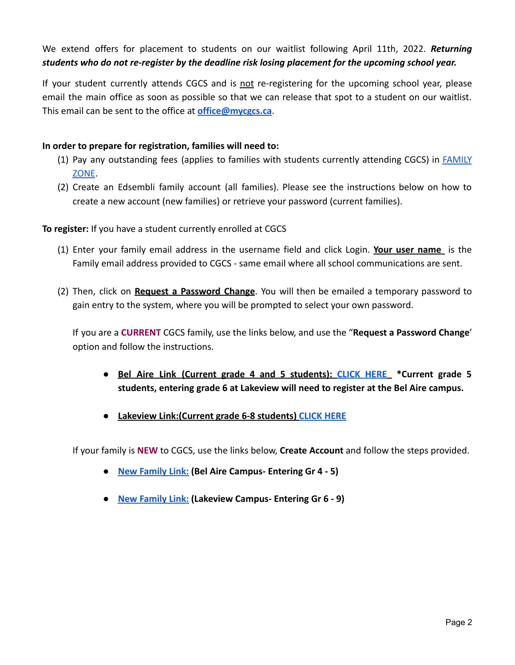# We extend offers for placement to students on our waitlist following April 11th, 2022. *Returning students who do not re-register by the deadline risk losing placement for the upcoming school year.*

If your student currently attends CGCS and is not re-registering for the upcoming school year, please email the main office as soon as possible so that we can release that spot to a student on our waitlist. This email can be sent to the office at **[office@mycgcs.ca](mailto:office@mycgcs.ca)**.

# **In order to prepare for registration, families will need to:**

- (1) Pay any outstanding fees (applies to families with students currently attending CGCS) in [FAMILY](https://fz.calgarygirlsschool.com/) [ZONE](https://fz.calgarygirlsschool.com/).
- (2) Create an Edsembli family account (all families). Please see the instructions below on how to create a new account (new families) or retrieve your password (current families).

# **To register:** If you have a student currently enrolled at CGCS

- (1) Enter your family email address in the username field and click Login. **Your user name** is the Family email address provided to CGCS - same email where all school communications are sent.
- (2) Then, click on **Request a Password Change**. You will then be emailed a temporary password to gain entry to the system, where you will be prompted to select your own password.

If you are a **CURRENT** CGCS family, use the links below, and use the "**Request a Password Change**' option and follow the instructions.

- **● Bel Aire Link (Current grade 4 and 5 students): [CLICK](https://connect.edsembli.com/AB/PRIVATE/CGS/CGCS/Portal/viewer/Login/Login.aspx?logintype=P) HERE \*Current grade 5 students, entering grade 6 at Lakeview will need to register at the Bel Aire campus.**
- **● Lakeview Link:(Current grade 6-8 students) [CLICK HERE](https://connect.edsembli.com/AB/Private/CGS/CalGi/Portal/viewer/Login/Login.aspx?logintype=P)**

If your family is **NEW** to CGCS, use the links below, **Create Account** and follow the steps provided.

- **[New Family Link:](http://connect.edsembli.com/AB/Private/CGS/CGCS/Portal/Online/StudentRegistration) (Bel Aire Campus- Entering Gr 4 - 5)**
- **[New Family Link:](https://connect.edsembli.com/AB/Private/CGS/CalGi/Portal/Online/StudentRegistration) (Lakeview Campus- Entering Gr 6 - 9)**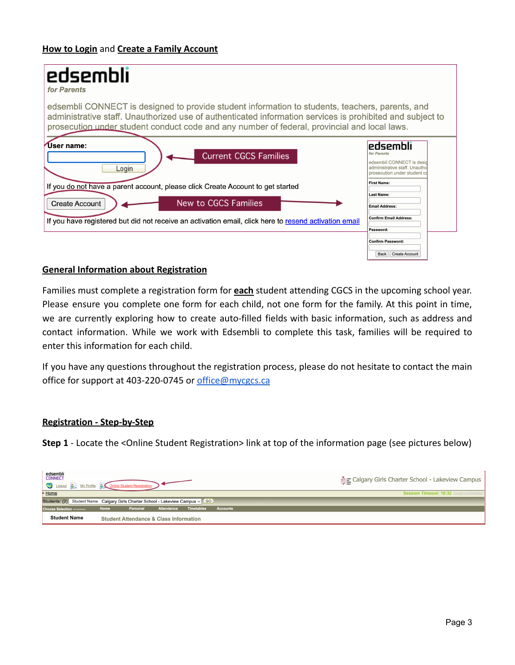| edsembli<br>for Parents                                                                                                                                                                                                                                                                                      |                                                                                                                        |
|--------------------------------------------------------------------------------------------------------------------------------------------------------------------------------------------------------------------------------------------------------------------------------------------------------------|------------------------------------------------------------------------------------------------------------------------|
| edsembli CONNECT is designed to provide student information to students, teachers, parents, and<br>administrative staff. Unauthorized use of authenticated information services is prohibited and subject to<br>prosecution under student conduct code and any number of federal, provincial and local laws. |                                                                                                                        |
| 'User name:<br><b>Current CGCS Families</b><br>Login                                                                                                                                                                                                                                                         | 'edsembli<br>for Parents<br>edsembli CONNECT is desid<br>administrative staff, Unautho<br>prosecution under student co |
| If you do not have a parent account, please click Create Account to get started                                                                                                                                                                                                                              | <b>First Name:</b>                                                                                                     |
| New to CGCS Families<br><b>Create Account</b>                                                                                                                                                                                                                                                                | <b>Last Name:</b><br><b>Email Address:</b>                                                                             |
| If you have registered but did not receive an activation email, click here to resend activation email                                                                                                                                                                                                        | <b>Confirm Email Address:</b><br>Password:                                                                             |
|                                                                                                                                                                                                                                                                                                              | <b>Confirm Password:</b><br>Back<br><b>Create Account</b>                                                              |

## **General Information about Registration**

Families must complete a registration form for **each** student attending CGCS in the upcoming school year. Please ensure you complete one form for each child, not one form for the family. At this point in time, we are currently exploring how to create auto-filled fields with basic information, such as address and contact information. While we work with Edsembli to complete this task, families will be required to enter this information for each child.

If you have any questions throughout the registration process, please do not hesitate to contact the main office for support at 403-220-0745 or [office@mycgcs.ca](mailto:office@mycgcs.ca)

#### **Registration - Step-by-Step**

**Step 1** - Locate the <Online Student Registration> link at top of the information page (see pictures below)

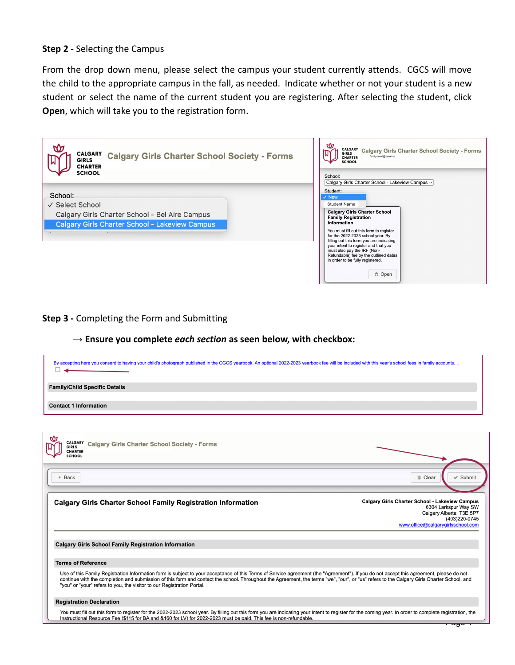### **Step 2 -** Selecting the Campus

From the drop down menu, please select the campus your student currently attends. CGCS will move the child to the appropriate campus in the fall, as needed. Indicate whether or not your student is a new student or select the name of the current student you are registering. After selecting the student, click **Open**, which will take you to the registration form.

| <b>CALGARY</b><br><b>Calgary Girls Charter School Society - Forms</b><br><b>GIRLS</b><br><b>CHARTER</b> | ᢣᢗᠬ<br>CALGARY Calgary Girls Charter School Society - Forms<br><b>GIRLS</b><br>familyemail@email.ca<br><b>CHARTER</b><br><b>SCHOOL</b>                                                                                                                                                                                              |
|---------------------------------------------------------------------------------------------------------|-------------------------------------------------------------------------------------------------------------------------------------------------------------------------------------------------------------------------------------------------------------------------------------------------------------------------------------|
| <b>SCHOOL</b><br>School:<br>√ Select School<br>Calgary Girls Charter School - Bel Aire Campus           | School:<br>Calgary Girls Charter School - Lakeview Campus $\vee$<br>Student:<br>$\vee$ New<br><b>Student Name</b><br><b>Calgary Girls Charter School</b>                                                                                                                                                                            |
| <b>Calgary Girls Charter School - Lakeview Campus</b>                                                   | <b>Family Registration</b><br>Information<br>You must fill out this form to register<br>for the 2022-2023 school year. By<br>filling out this form you are indicating<br>your intent to register and that you<br>must also pay the IRF (Non-<br>Refundable) fee by the outlined dates<br>in order to be fully registered.<br>□ Open |

**Step 3 -** Completing the Form and Submitting

# **→ Ensure you complete** *each section* **as seen below, with checkbox:**

| By accepting here you consent to having your child's photograph published in the CGCS yearbook. An optional 2022-2023 yearbook fee will be included with this year's school fees in family accounts. □                                                                                                                                                                                                                                                         |                                                                                                                                                                |  |
|----------------------------------------------------------------------------------------------------------------------------------------------------------------------------------------------------------------------------------------------------------------------------------------------------------------------------------------------------------------------------------------------------------------------------------------------------------------|----------------------------------------------------------------------------------------------------------------------------------------------------------------|--|
| <b>Family/Child Specific Details</b>                                                                                                                                                                                                                                                                                                                                                                                                                           |                                                                                                                                                                |  |
| <b>Contact 1 Information</b>                                                                                                                                                                                                                                                                                                                                                                                                                                   |                                                                                                                                                                |  |
|                                                                                                                                                                                                                                                                                                                                                                                                                                                                |                                                                                                                                                                |  |
| CALGARY Calgary Girls Charter School Society - Forms<br><b>GIRLS</b><br><b>CHARTER</b><br><b>SCHOOL</b>                                                                                                                                                                                                                                                                                                                                                        |                                                                                                                                                                |  |
|                                                                                                                                                                                                                                                                                                                                                                                                                                                                |                                                                                                                                                                |  |
| <b>Back</b>                                                                                                                                                                                                                                                                                                                                                                                                                                                    | <b>m</b> Clear<br>$\checkmark$ Submit                                                                                                                          |  |
| <b>Calgary Girls Charter School Family Registration Information</b>                                                                                                                                                                                                                                                                                                                                                                                            | <b>Calgary Girls Charter School - Lakeview Campus</b><br>6304 Larkspur Way SW<br>Calgary Alberta T3E 5P7<br>(403)220-0745<br>www.office@calgarygirlsschool.com |  |
| <b>Calgary Girls School Family Registration Information</b>                                                                                                                                                                                                                                                                                                                                                                                                    |                                                                                                                                                                |  |
| <b>Terms of Reference</b>                                                                                                                                                                                                                                                                                                                                                                                                                                      |                                                                                                                                                                |  |
| Use of this Family Registration Information form is subject to your acceptance of this Terms of Service agreement (the "Agreement"). If you do not accept this agreement, please do not<br>continue with the completion and submission of this form and contact the school. Throughout the Agreement, the terms "we", "our", or "us" refers to the Calgary Girls Charter School, and<br>"you" or "your" refers to you, the visitor to our Registration Portal. |                                                                                                                                                                |  |
| <b>Registration Declaration</b>                                                                                                                                                                                                                                                                                                                                                                                                                                |                                                                                                                                                                |  |
| You must fill out this form to register for the 2022-2023 school year. By filling out this form you are indicating your intent to register for the coming year. In order to complete registration, the<br>Instructional Resource Fee (\$115 for BA and &160 for LV) for 2022-2023 must be paid. This fee is non-refundable.                                                                                                                                    | <del>, ayo 1</del>                                                                                                                                             |  |